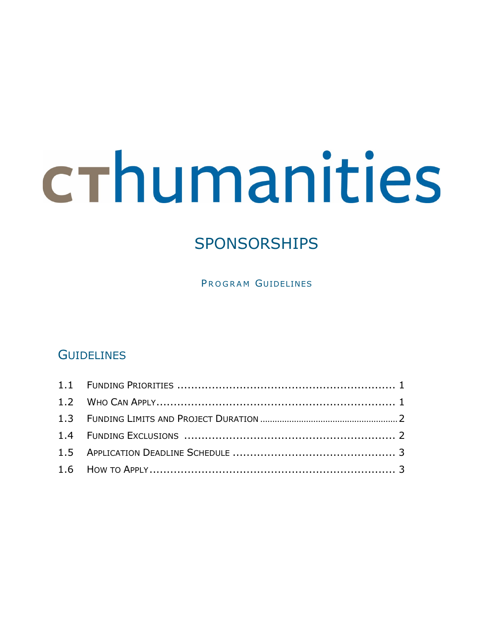# crhumanities

## SPONSORSHIPS

PROGRAM GUIDELINES

### **GUIDELINES**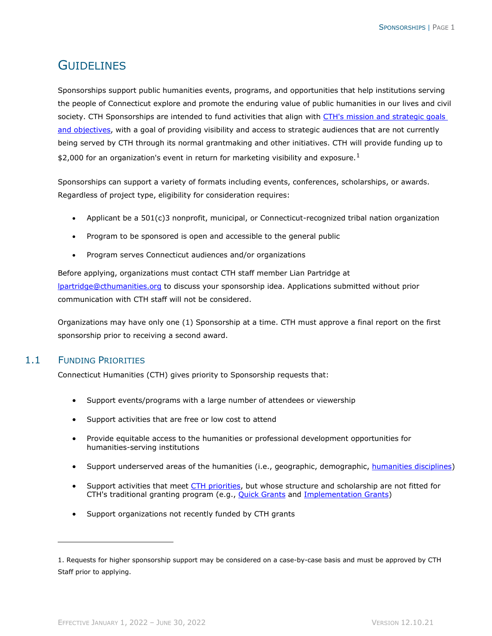#### **GUIDELINES**

Sponsorships support public humanities events, programs, and opportunities that help institutions serving the people of Connecticut explore and promote the enduring value of public humanities in our lives and civil society. CTH Sponsorships are intended to fund activities that align with [CTH's mission and strategic goals](https://cthumanities.org/our-story/strategic-plan/)  [and objectives,](https://cthumanities.org/our-story/strategic-plan/) with a goal of providing visibility and access to strategic audiences that are not currently being served by CTH through its normal grantmaking and other initiatives. CTH will provide funding up to \$2,000 for an organization's event in return for marketing visibility and exposure.<sup>[1](#page-1-0)</sup>

Sponsorships can support a variety of formats including events, conferences, scholarships, or awards. Regardless of project type, eligibility for consideration requires:

- Applicant be a 501(c)3 nonprofit, municipal, or Connecticut-recognized tribal nation organization
- Program to be sponsored is open and accessible to the general public
- Program serves Connecticut audiences and/or organizations

Before applying, organizations must contact CTH staff member Lian Partridge at [lpartridge@cthumanities.org](mailto:lpartridge@cthumanities.org) to discuss your sponsorship idea. Applications submitted without prior communication with CTH staff will not be considered.

Organizations may have only one (1) Sponsorship at a time. CTH must approve a final report on the first sponsorship prior to receiving a second award.

#### 1.1 FUNDING PRIORITIES

Connecticut Humanities (CTH) gives priority to Sponsorship requests that:

- Support events/programs with a large number of attendees or viewership
- Support activities that are free or low cost to attend
- Provide equitable access to the humanities or professional development opportunities for humanities-serving institutions
- Support underserved areas of the humanities (i.e., geographic, demographic, [humanities disciplines\)](https://cthumanities.org/our-story/what-are-the-humanities/)
- Support activities that meet [CTH priorities,](https://cthumanities.org/funding-priorities/) but whose structure and scholarship are not fitted for CTH's traditional granting program (e.g., **Quick Grants and [Implementation Grants\)](https://cthumanities.org/grants/project-implementation/)**
- Support organizations not recently funded by CTH grants

<span id="page-1-0"></span><sup>1.</sup> Requests for higher sponsorship support may be considered on a case-by-case basis and must be approved by CTH Staff prior to applying.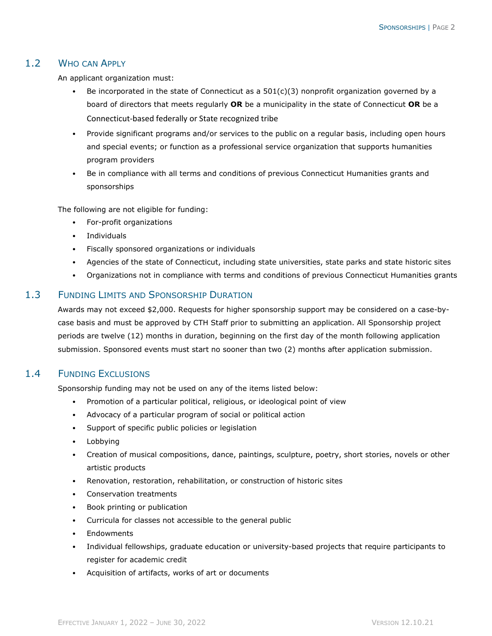#### 1.2 WHO CAN APPLY

An applicant organization must:

- Be incorporated in the state of Connecticut as a  $501(c)(3)$  nonprofit organization governed by a board of directors that meets regularly **OR** be a municipality in the state of Connecticut **OR** be a Connecticut-based federally or State recognized tribe
- Provide significant programs and/or services to the public on a regular basis, including open hours and special events; or function as a professional service organization that supports humanities program providers
- Be in compliance with all terms and conditions of previous Connecticut Humanities grants and sponsorships

The following are not eligible for funding:

- For-profit organizations
- Individuals
- Fiscally sponsored organizations or individuals
- Agencies of the state of Connecticut, including state universities, state parks and state historic sites
- Organizations not in compliance with terms and conditions of previous Connecticut Humanities grants

#### 1.3 FUNDING LIMITS AND SPONSORSHIP DURATION

Awards may not exceed \$2,000. Requests for higher sponsorship support may be considered on a case-bycase basis and must be approved by CTH Staff prior to submitting an application. All Sponsorship project periods are twelve (12) months in duration, beginning on the first day of the month following application submission. Sponsored events must start no sooner than two (2) months after application submission.

#### 1.4 FUNDING EXCLUSIONS

Sponsorship funding may not be used on any of the items listed below:

- Promotion of a particular political, religious, or ideological point of view
- Advocacy of a particular program of social or political action
- Support of specific public policies or legislation
- Lobbying
- Creation of musical compositions, dance, paintings, sculpture, poetry, short stories, novels or other artistic products
- Renovation, restoration, rehabilitation, or construction of historic sites
- Conservation treatments
- Book printing or publication
- Curricula for classes not accessible to the general public
- Endowments
- Individual fellowships, graduate education or university-based projects that require participants to register for academic credit
- Acquisition of artifacts, works of art or documents